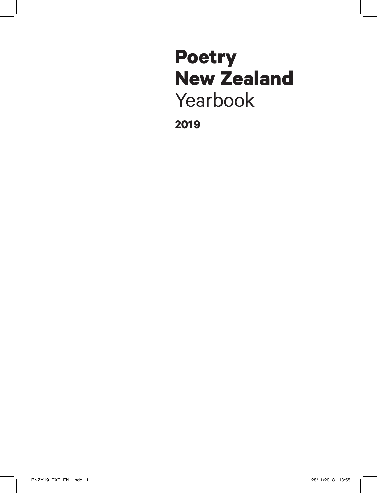# **Poetry New Zealand** Yearbook

**2019**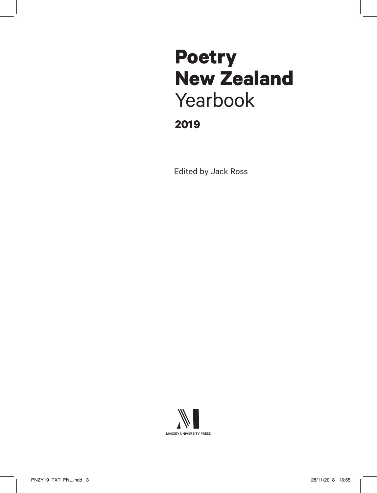# **2019 Poetry New Zealand** Yearbook

Edited by Jack Ross

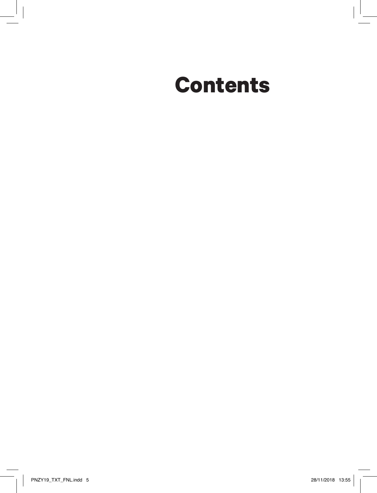# **Contents**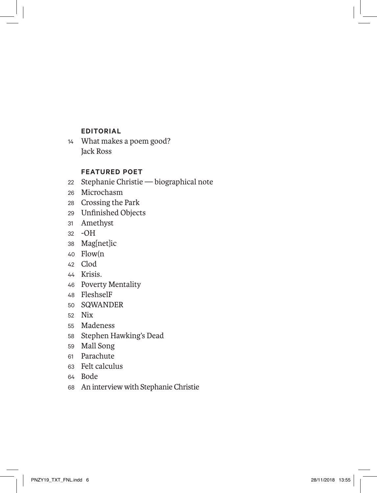### **EDITORIAL**

 What makes a poem good? Jack Ross

### **FEATURED POET**

- Stephanie Christie biographical note
- Microchasm
- Crossing the Park
- Unfinished Objects
- Amethyst
- -OH
- Mag[net]ic
- Flow(n
- Clod
- Krisis.
- Poverty Mentality
- FleshselF
- SQWANDER
- Nix
- Madeness
- Stephen Hawking's Dead
- Mall Song
- Parachute
- Felt calculus
- Bode
- An interview with Stephanie Christie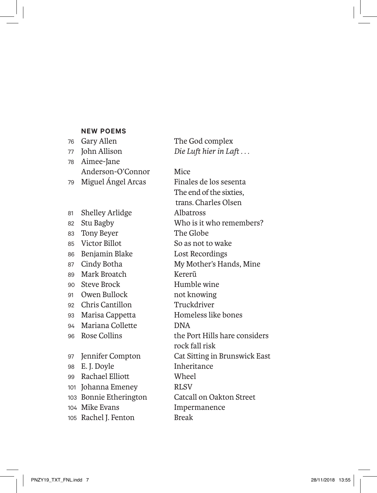#### **NEW POEMS**

76 Gary Allen The God complex John Allison *Die Luft hier in Laft . . .* Aimee-Jane Anderson-O'Connor Mice

81 Shelley Arlidge Albatross 83 Tony Beyer The Globe Victor Billot So as not to wake Benjamin Blake Lost Recordings Mark Broatch Kererū Steve Brock Humble wine Owen Bullock not knowing Chris Cantillon Truckdriver Marisa Cappetta Homeless like bones Mariana Collette DNA E. J. Doyle Inheritance Rachael Elliott Wheel Johanna Emeney RLSV Mike Evans Impermanence 105 Rachel J. Fenton Break

 Miguel Ángel Arcas Finales de los sesenta The end of the sixties, trans. Charles Olsen Stu Bagby Who is it who remembers? 87 Cindy Botha My Mother's Hands, Mine Rose Collins the Port Hills hare considers rock fall risk Jennifer Compton Cat Sitting in Brunswick East Bonnie Etherington Catcall on Oakton Street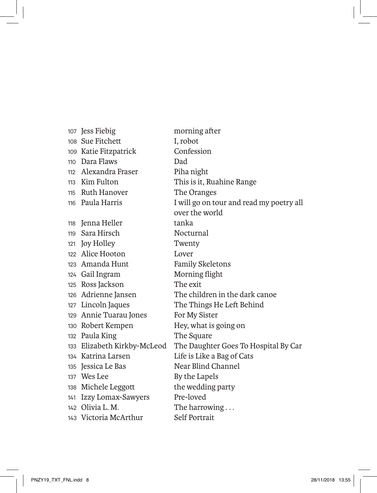Jess Fiebig morning after Sue Fitchett I, robot Katie Fitzpatrick Confession Dara Flaws Dad Alexandra Fraser Piha night Kim Fulton This is it, Ruahine Range Ruth Hanover The Oranges 118 Jenna Heller tanka Sara Hirsch Nocturnal Joy Holley Twenty Alice Hooton Lover 123 Amanda Hunt Family Skeletons Gail Ingram Morning flight Ross Jackson The exit 129 Annie Tuarau Jones For My Sister Robert Kempen Hey, what is going on 132 Paula King The Square Katrina Larsen Life is Like a Bag of Cats 135 Jessica Le Bas Near Blind Channel 137 Wes Lee By the Lapels 138 Michele Leggott the wedding party Izzy Lomax-Sawyers Pre-loved 142 Olivia L. M. The harrowing ... Victoria McArthur Self Portrait

 Paula Harris I will go on tour and read my poetry all over the world Adrienne Jansen The children in the dark canoe Lincoln Jaques The Things He Left Behind Elizabeth Kirkby-McLeod The Daughter Goes To Hospital By Car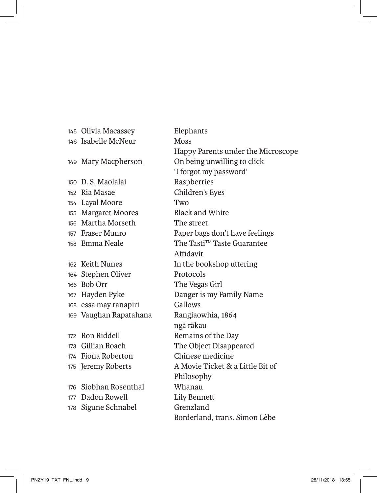Isabelle McNeur Moss D. S. Maolalai Raspberries Ria Masae Children's Eyes Layal Moore Two Margaret Moores Black and White Martha Morseth The street Stephen Oliver Protocols Bob Orr The Vegas Girl essa may ranapiri Gallows Vaughan Rapatahana Rangiaowhia, 1864 172 Ron Riddell Remains of the Day Fiona Roberton Chinese medicine Siobhan Rosenthal Whanau 177 Dadon Rowell **Lily Bennett** Sigune Schnabel Grenzland

 Olivia Macassey Elephants Happy Parents under the Microscope Mary Macpherson On being unwilling to click 'I forgot my password' Fraser Munro Paper bags don't have feelings Emma Neale The Tasti<sup>TM</sup> Taste Guarantee Affidavit Keith Nunes In the bookshop uttering Hayden Pyke Danger is my Family Name ngā rākau Gillian Roach The Object Disappeared Jeremy Roberts A Movie Ticket & a Little Bit of Philosophy Borderland, trans. Simon Lèbe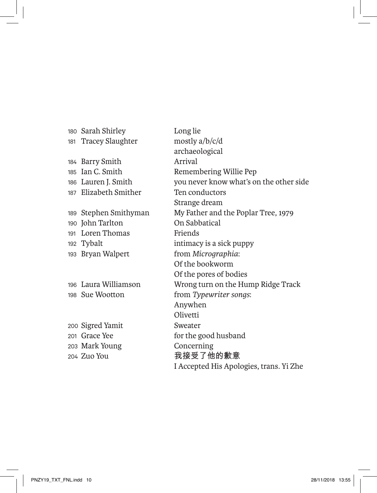180 Sarah Shirley Long lie 181 Tracey Slaughter mostly a/b/c/d archaeological 184 Barry Smith Arrival 185 Ian C. Smith Remembering Willie Pep 186 Lauren J. Smith you never know what's on the other side 187 Elizabeth Smither Ten conductors Strange dream 189 Stephen Smithyman My Father and the Poplar Tree, 1979 190 John Tarlton On Sabbatical 191 Loren Thomas Friends 192 Tybalt intimacy is a sick puppy 193 Bryan Walpert from *Micrographia*: Of the bookworm Of the pores of bodies 196 Laura Williamson Wrong turn on the Hump Ridge Track 198 Sue Wootton from *Typewriter songs*: Anywhen **Olivetti** 200 Sigred Yamit Sweater 201 Grace Yee for the good husband 203 Mark Young Concerning 204 Zuo You 我接受了他的歉意 I Accepted His Apologies, trans. Yi Zhe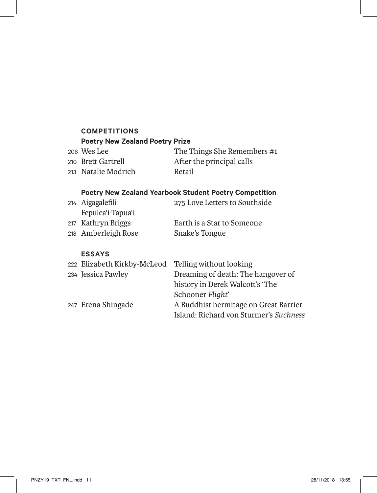### **COMPETITIONS Poetry New Zealand Poetry Prize**

| 206 Wes Lee         | The Things She Remembers #1 |
|---------------------|-----------------------------|
| 210 Brett Gartrell  | After the principal calls   |
| 213 Natalie Modrich | Retail                      |

### **Poetry New Zealand Yearbook Student Poetry Competition**

| 214 Aigagalefili    | 275 Love Letters to Southside |
|---------------------|-------------------------------|
| Fepulea'i-Tapua'i   |                               |
| 217 Kathryn Briggs  | Earth is a Star to Someone    |
| 218 Amberleigh Rose | Snake's Tongue                |

### **ESSAYS**

| 222 Elizabeth Kirkby-McLeod Telling without looking |                                        |
|-----------------------------------------------------|----------------------------------------|
| 234 Jessica Pawley                                  | Dreaming of death: The hangover of     |
|                                                     | history in Derek Walcott's 'The        |
|                                                     | Schooner Flight'                       |
| 247 Erena Shingade                                  | A Buddhist hermitage on Great Barrier  |
|                                                     | Island: Richard von Sturmer's Suchness |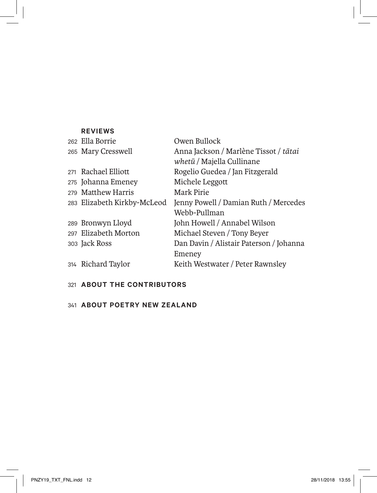| <b>REVIEWS</b>              |                                         |
|-----------------------------|-----------------------------------------|
| 262 Ella Borrie             | Owen Bullock                            |
| 265 Mary Cresswell          | Anna Jackson / Marlène Tissot / tātai   |
|                             | whetū / Majella Cullinane               |
| 271 Rachael Elliott         | Rogelio Guedea / Jan Fitzgerald         |
| 275 Johanna Emeney          | Michele Leggott                         |
| 279 Matthew Harris          | Mark Pirie                              |
| 283 Elizabeth Kirkby-McLeod | Jenny Powell / Damian Ruth / Mercedes   |
|                             | Webb-Pullman                            |
| 289 Bronwyn Lloyd           | John Howell / Annabel Wilson            |
| 297 Elizabeth Morton        | Michael Steven / Tony Beyer             |
| 303 Jack Ross               | Dan Davin / Alistair Paterson / Johanna |
|                             | Emeney                                  |
| 314 Richard Taylor          | Keith Westwater / Peter Rawnsley        |

# **ABOUT THE CONTRIBUTORS**

# **ABOUT POETRY NEW ZEALAND**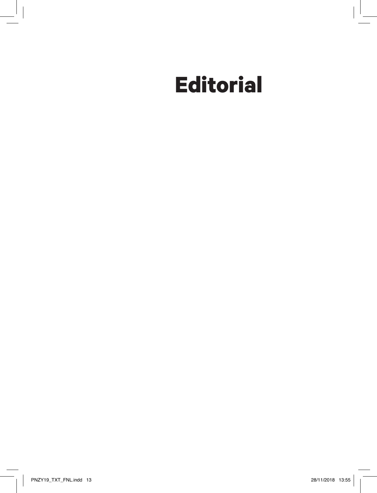# **Editorial**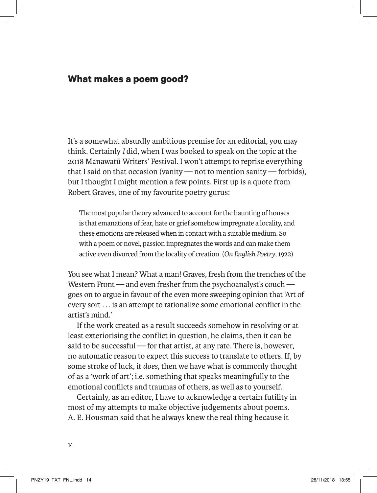# **What makes a poem good?**

It's a somewhat absurdly ambitious premise for an editorial, you may think. Certainly *I* did, when I was booked to speak on the topic at the 2018 Manawatū Writers' Festival. I won't attempt to reprise everything that I said on that occasion (vanity — not to mention sanity — forbids), but I thought I might mention a few points. First up is a quote from Robert Graves, one of my favourite poetry gurus:

The most popular theory advanced to account for the haunting of houses is that emanations of fear, hate or grief somehow impregnate a locality, and these emotions are released when in contact with a suitable medium. So with a poem or novel, passion impregnates the words and can make them active even divorced from the locality of creation. (*On English Poetry*, 1922)

You see what I mean? What a man! Graves, fresh from the trenches of the Western Front — and even fresher from the psychoanalyst's couch goes on to argue in favour of the even more sweeping opinion that 'Art of every sort . . . is an attempt to rationalize some emotional conflict in the artist's mind.'

If the work created as a result succeeds somehow in resolving or at least exteriorising the conflict in question, he claims, then it can be said to be successful — for that artist, at any rate. There is, however, no automatic reason to expect this success to translate to others. If, by some stroke of luck, it *does*, then we have what is commonly thought of as a 'work of art'; i.e. something that speaks meaningfully to the emotional conflicts and traumas of others, as well as to yourself.

Certainly, as an editor, I have to acknowledge a certain futility in most of my attempts to make objective judgements about poems. A. E. Housman said that he always knew the real thing because it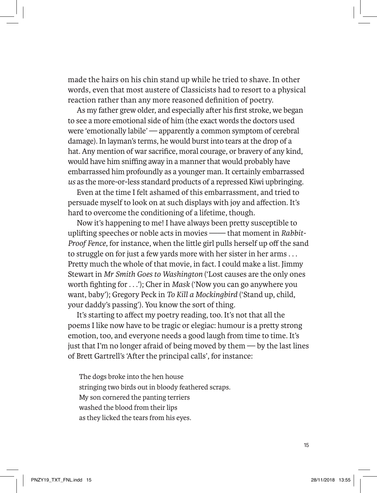made the hairs on his chin stand up while he tried to shave. In other words, even that most austere of Classicists had to resort to a physical reaction rather than any more reasoned definition of poetry.

As my father grew older, and especially after his first stroke, we began to see a more emotional side of him (the exact words the doctors used were 'emotionally labile' — apparently a common symptom of cerebral damage). In layman's terms, he would burst into tears at the drop of a hat. Any mention of war sacrifice, moral courage, or bravery of any kind, would have him sniffing away in a manner that would probably have embarrassed him profoundly as a younger man. It certainly embarrassed *us* as the more-or-less standard products of a repressed Kiwi upbringing.

Even at the time I felt ashamed of this embarrassment, and tried to persuade myself to look on at such displays with joy and affection. It's hard to overcome the conditioning of a lifetime, though.

Now it's happening to me! I have always been pretty susceptible to uplifting speeches or noble acts in movies —— that moment in *Rabbit-Proof Fence*, for instance, when the little girl pulls herself up off the sand to struggle on for just a few yards more with her sister in her arms . . . Pretty much the whole of that movie, in fact. I could make a list. Jimmy Stewart in *Mr Smith Goes to Washington* ('Lost causes are the only ones worth fighting for . . .'); Cher in *Mask* ('Now you can go anywhere you want, baby'); Gregory Peck in *To Kill a Mockingbird* ('Stand up, child, your daddy's passing'). You know the sort of thing.

It's starting to affect my poetry reading, too. It's not that all the poems I like now have to be tragic or elegiac: humour is a pretty strong emotion, too, and everyone needs a good laugh from time to time. It's just that I'm no longer afraid of being moved by them — by the last lines of Brett Gartrell's 'After the principal calls', for instance:

The dogs broke into the hen house stringing two birds out in bloody feathered scraps. My son cornered the panting terriers washed the blood from their lips as they licked the tears from his eyes.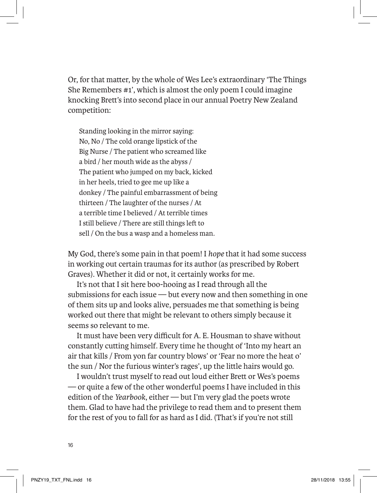Or, for that matter, by the whole of Wes Lee's extraordinary 'The Things She Remembers #1', which is almost the only poem I could imagine knocking Brett's into second place in our annual Poetry New Zealand competition:

Standing looking in the mirror saying: No, No / The cold orange lipstick of the Big Nurse / The patient who screamed like a bird / her mouth wide as the abyss / The patient who jumped on my back, kicked in her heels, tried to gee me up like a donkey / The painful embarrassment of being thirteen / The laughter of the nurses / At a terrible time I believed / At terrible times I still believe / There are still things left to sell / On the bus a wasp and a homeless man.

My God, there's some pain in that poem! I *hope* that it had some success in working out certain traumas for its author (as prescribed by Robert Graves). Whether it did or not, it certainly works for me.

It's not that I sit here boo-hooing as I read through all the submissions for each issue — but every now and then something in one of them sits up and looks alive, persuades me that something is being worked out there that might be relevant to others simply because it seems so relevant to me.

It must have been very difficult for A. E. Housman to shave without constantly cutting himself. Every time he thought of 'Into my heart an air that kills / From yon far country blows' or 'Fear no more the heat o' the sun / Nor the furious winter's rages', up the little hairs would go.

I wouldn't trust myself to read out loud either Brett or Wes's poems — or quite a few of the other wonderful poems I have included in this edition of the *Yearbook*, either — but I'm very glad the poets wrote them. Glad to have had the privilege to read them and to present them for the rest of you to fall for as hard as I did. (That's if you're not still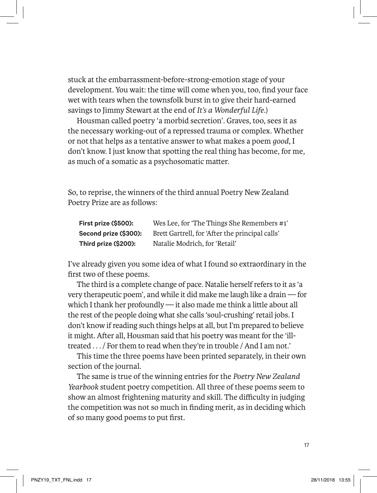stuck at the embarrassment-before-strong-emotion stage of your development. You wait: the time will come when you, too, find your face wet with tears when the townsfolk burst in to give their hard-earned savings to Jimmy Stewart at the end of *It's a Wonderful Life*.)

Housman called poetry 'a morbid secretion'. Graves, too, sees it as the necessary working-out of a repressed trauma or complex. Whether or not that helps as a tentative answer to what makes a poem *good*, I don't know. I just know that spotting the real thing has become, for me, as much of a somatic as a psychosomatic matter.

So, to reprise, the winners of the third annual Poetry New Zealand Poetry Prize are as follows:

| First prize (\$500):  | Wes Lee, for 'The Things She Remembers #1'      |
|-----------------------|-------------------------------------------------|
| Second prize (\$300): | Brett Gartrell, for 'After the principal calls' |
| Third prize (\$200):  | Natalie Modrich, for 'Retail'                   |

I've already given you some idea of what I found so extraordinary in the first two of these poems.

The third is a complete change of pace. Natalie herself refers to it as 'a very therapeutic poem', and while it did make me laugh like a drain — for which I thank her profoundly — it also made me think a little about all the rest of the people doing what she calls 'soul-crushing' retail jobs. I don't know if reading such things helps at all, but I'm prepared to believe it might. After all, Housman said that his poetry was meant for the 'illtreated . . . / For them to read when they're in trouble / And I am not.'

This time the three poems have been printed separately, in their own section of the journal.

The same is true of the winning entries for the *Poetry New Zealand Yearbook* student poetry competition. All three of these poems seem to show an almost frightening maturity and skill. The difficulty in judging the competition was not so much in finding merit, as in deciding which of so many good poems to put first.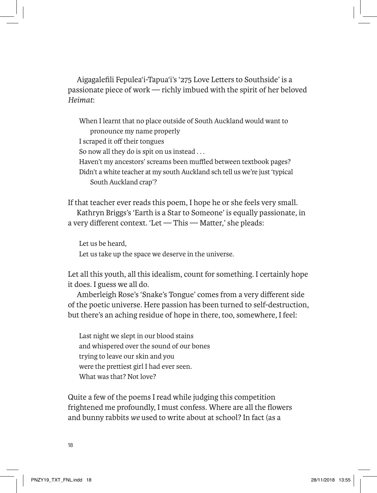Aigagalefili Fepulea'i-Tapua'i's '275 Love Letters to Southside' is a passionate piece of work — richly imbued with the spirit of her beloved *Heimat*:

When I learnt that no place outside of South Auckland would want to pronounce my name properly I scraped it off their tongues So now all they do is spit on us instead . . . Haven't my ancestors' screams been muffled between textbook pages? Didn't a white teacher at my south Auckland sch tell us we're just 'typical South Auckland crap'?

If that teacher ever reads this poem, I hope he or she feels very small. Kathryn Briggs's 'Earth is a Star to Someone' is equally passionate, in a very different context. 'Let — This — Matter,' she pleads:

Let us be heard, Let us take up the space we deserve in the universe.

Let all this youth, all this idealism, count for something. I certainly hope it does. I guess we all do.

Amberleigh Rose's 'Snake's Tongue' comes from a very different side of the poetic universe. Here passion has been turned to self-destruction, but there's an aching residue of hope in there, too, somewhere, I feel:

Last night we slept in our blood stains and whispered over the sound of our bones trying to leave our skin and you were the prettiest girl I had ever seen. What was that? Not love?

Quite a few of the poems I read while judging this competition frightened me profoundly, I must confess. Where are all the flowers and bunny rabbits *we* used to write about at school? In fact (as a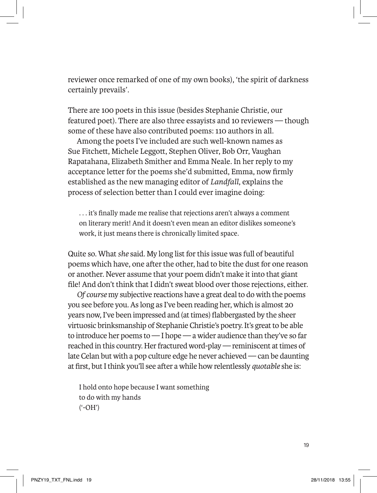reviewer once remarked of one of my own books), 'the spirit of darkness certainly prevails'.

There are 100 poets in this issue (besides Stephanie Christie, our featured poet). There are also three essayists and 10 reviewers — though some of these have also contributed poems: 110 authors in all.

Among the poets I've included are such well-known names as Sue Fitchett, Michele Leggott, Stephen Oliver, Bob Orr, Vaughan Rapatahana, Elizabeth Smither and Emma Neale. In her reply to my acceptance letter for the poems she'd submitted, Emma, now firmly established as the new managing editor of *Landfall*, explains the process of selection better than I could ever imagine doing:

. . . it's finally made me realise that rejections aren't always a comment on literary merit! And it doesn't even mean an editor dislikes someone's work, it just means there is chronically limited space.

Quite so. What *she* said. My long list for this issue was full of beautiful poems which have, one after the other, had to bite the dust for one reason or another. Never assume that your poem didn't make it into that giant file! And don't think that I didn't sweat blood over those rejections, either.

*Of course* my subjective reactions have a great deal to do with the poems you see before you. As long as I've been reading her, which is almost 20 years now, I've been impressed and (at times) flabbergasted by the sheer virtuosic brinksmanship of Stephanie Christie's poetry. It's great to be able to introduce her poems to — I hope — a wider audience than they've so far reached in this country. Her fractured word-play — reminiscent at times of late Celan but with a pop culture edge he never achieved — can be daunting at first, but I think you'll see after a while how relentlessly *quotable* she is:

I hold onto hope because I want something to do with my hands ('-OH')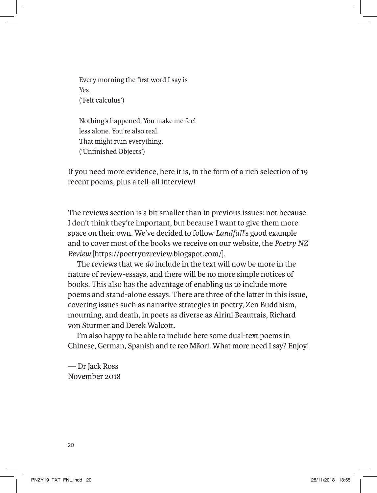Every morning the first word I say is Yes. ('Felt calculus')

Nothing's happened. You make me feel less alone. You're also real. That might ruin everything. ('Unfinished Objects')

If you need more evidence, here it is, in the form of a rich selection of 19 recent poems, plus a tell-all interview!

The reviews section is a bit smaller than in previous issues: not because I don't think they're important, but because I want to give them more space on their own. We've decided to follow *Landfall*'s good example and to cover most of the books we receive on our website, the *Poetry NZ Review* [https://poetrynzreview.blogspot.com/].

The reviews that we *do* include in the text will now be more in the nature of review-essays, and there will be no more simple notices of books. This also has the advantage of enabling us to include more poems and stand-alone essays. There are three of the latter in this issue, covering issues such as narrative strategies in poetry, Zen Buddhism, mourning, and death, in poets as diverse as Airini Beautrais, Richard von Sturmer and Derek Walcott.

I'm also happy to be able to include here some dual-text poems in Chinese, German, Spanish and te reo Māori. What more need I say? Enjoy!

— Dr Jack Ross November 2018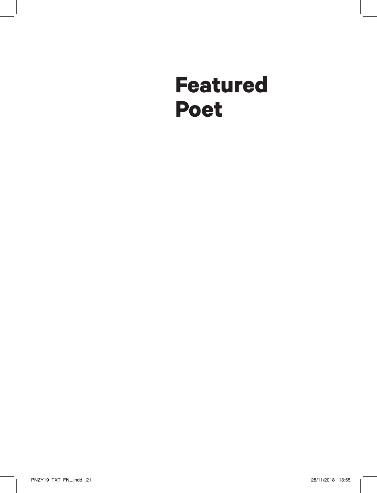# **Featured Poet**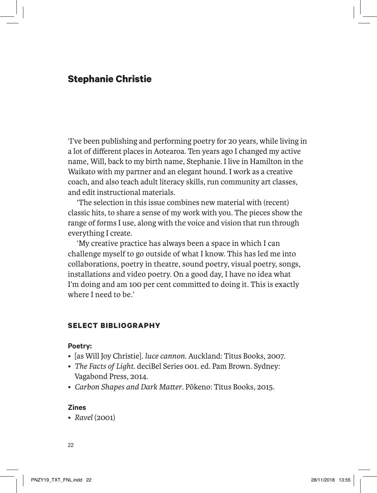# **Stephanie Christie**

'I've been publishing and performing poetry for 20 years, while living in a lot of different places in Aotearoa. Ten years ago I changed my active name, Will, back to my birth name, Stephanie. I live in Hamilton in the Waikato with my partner and an elegant hound. I work as a creative coach, and also teach adult literacy skills, run community art classes, and edit instructional materials.

'The selection in this issue combines new material with (recent) classic hits, to share a sense of my work with you. The pieces show the range of forms I use, along with the voice and vision that run through everything I create.

'My creative practice has always been a space in which I can challenge myself to go outside of what I know. This has led me into collaborations, poetry in theatre, sound poetry, visual poetry, songs, installations and video poetry. On a good day, I have no idea what I'm doing and am 100 per cent committed to doing it. This is exactly where I need to be.'

### **SELECT BIBLIOGRAPHY**

### **Poetry:**

- [as Will Joy Christie]. *luce cannon*. Auckland: Titus Books, 2007.
- *The Facts of Light*. deciBel Series 001. ed. Pam Brown. Sydney: Vagabond Press, 2014.
- *Carbon Shapes and Dark Matter*. Pōkeno: Titus Books, 2015.

### **Zines**

• *Ravel* (2001)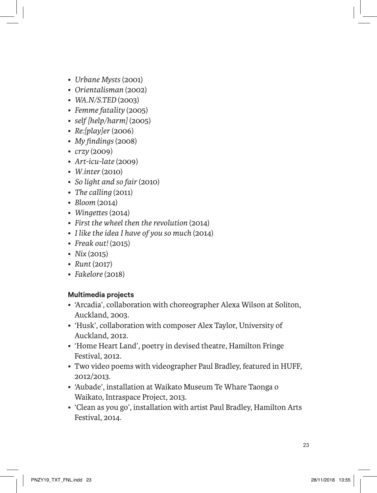- *Urbane Mysts* (2001)
- *Orientalisman* (2002)
- *WA.N/S.TED* (2003)
- *Femme fatality* (2005)
- *self [help/harm]* (2005)
- *Re:[play]er* (2006)
- *My findings* (2008)
- *crzy* (2009)
- *Art-icu-late* (2009)
- *W.inter* (2010)
- *So light and so fair* (2010)
- *The calling* (2011)
- *Bloom* (2014)
- *Wingettes* (2014)
- *First the wheel then the revolution* (2014)
- *I like the idea I have of you so much* (2014)
- *Freak out!* (2015)
- *Nix* (2015)
- *Runt* (2017)
- *Fakelore* (2018)

### **Multimedia projects**

- 'Arcadia', collaboration with choreographer Alexa Wilson at Soliton, Auckland, 2003.
- 'Husk', collaboration with composer Alex Taylor, University of Auckland, 2012.
- 'Home Heart Land', poetry in devised theatre, Hamilton Fringe Festival, 2012.
- Two video poems with videographer Paul Bradley, featured in HUFF, 2012/2013.
- 'Aubade', installation at Waikato Museum Te Whare Taonga o Waikato, Intraspace Project, 2013.
- 'Clean as you go', installation with artist Paul Bradley, Hamilton Arts Festival, 2014.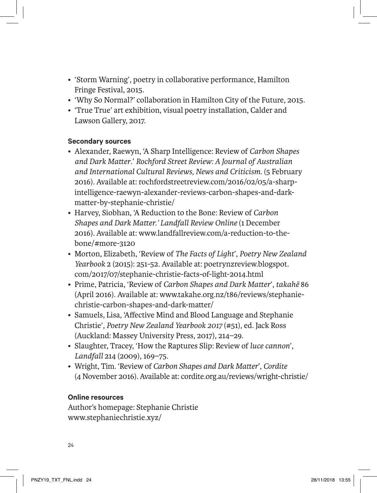- 'Storm Warning', poetry in collaborative performance, Hamilton Fringe Festival, 2015.
- 'Why So Normal?' collaboration in Hamilton City of the Future, 2015.
- 'True True' art exhibition, visual poetry installation, Calder and Lawson Gallery, 2017.

# **Secondary sources**

- Alexander, Raewyn, 'A Sharp Intelligence: Review of *Carbon Shapes and Dark Matter*.' *Rochford Street Review: A Journal of Australian and International Cultural Reviews, News and Criticism*. (5 February 2016). Available at: rochfordstreetreview.com/2016/02/05/a-sharpintelligence-raewyn-alexander-reviews-carbon-shapes-and-darkmatter-by-stephanie-christie/
- Harvey, Siobhan, 'A Reduction to the Bone: Review of *Carbon Shapes and Dark Matter.' Landfall Review Online* (1 December 2016). Available at: www.landfallreview.com/a-reduction-to-thebone/#more-3120
- Morton, Elizabeth, 'Review of *The Facts of Light*', *Poetry New Zealand Yearbook* 2 (2015): 251-52. Available at: poetrynzreview.blogspot. com/2017/07/stephanie-christie-facts-of-light-2014.html
- Prime, Patricia, 'Review of *Carbon Shapes and Dark Matter*', *takahē* 86 (April 2016). Available at: www.takahe.org.nz/t86/reviews/stephaniechristie-carbon-shapes-and-dark-matter/
- Samuels, Lisa, 'Affective Mind and Blood Language and Stephanie Christie', *Poetry New Zealand Yearbook 2017* (#51), ed. Jack Ross (Auckland: Massey University Press, 2017), 214–29.
- Slaughter, Tracey, 'How the Raptures Slip: Review of *luce cannon*', *Landfall* 214 (2009), 169–75.
- Wright, Tim. 'Review of *Carbon Shapes and Dark Matter*', *Cordite* (4 November 2016). Available at: cordite.org.au/reviews/wright-christie/

# **Online resources**

Author's homepage: Stephanie Christie www.stephaniechristie.xyz/